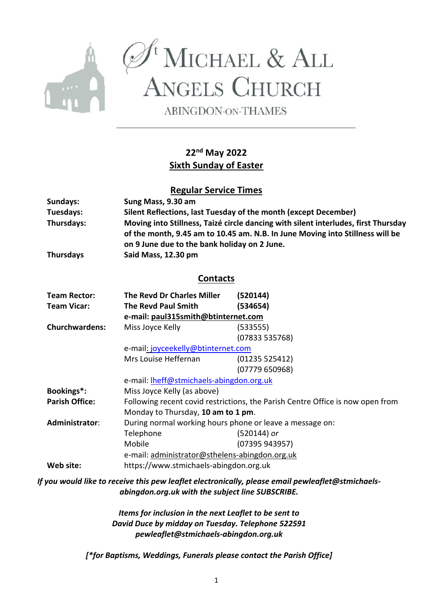

 $\mathcal{O}^{\mathfrak{t}}$ MICHAEL & ALL<br>ANGELS CHURCH

**ABINGDON-ON-THAMES** 

# **22nd May 2022 Sixth Sunday of Easter**

## **Regular Service Times**

| Sundays:              | Sung Mass, 9.30 am                                                                                                                                                  |                |  |  |  |
|-----------------------|---------------------------------------------------------------------------------------------------------------------------------------------------------------------|----------------|--|--|--|
| Tuesdays:             | Silent Reflections, last Tuesday of the month (except December)                                                                                                     |                |  |  |  |
| Thursdays:            | Moving into Stillness, Taizé circle dancing with silent interludes, first Thursday<br>of the month, 9.45 am to 10.45 am. N.B. In June Moving into Stillness will be |                |  |  |  |
| <b>Thursdays</b>      | on 9 June due to the bank holiday on 2 June.<br>Said Mass, 12.30 pm                                                                                                 |                |  |  |  |
| <b>Contacts</b>       |                                                                                                                                                                     |                |  |  |  |
| <b>Team Rector:</b>   | The Revd Dr Charles Miller                                                                                                                                          | (520144)       |  |  |  |
| <b>Team Vicar:</b>    | <b>The Revd Paul Smith</b>                                                                                                                                          | (534654)       |  |  |  |
|                       | e-mail: paul315smith@btinternet.com                                                                                                                                 |                |  |  |  |
| <b>Churchwardens:</b> | Miss Joyce Kelly                                                                                                                                                    | (533555)       |  |  |  |
|                       |                                                                                                                                                                     | (07833 535768) |  |  |  |
|                       | e-mail: joyceekelly@btinternet.com                                                                                                                                  |                |  |  |  |
|                       | Mrs Louise Heffernan                                                                                                                                                | (01235525412)  |  |  |  |
|                       |                                                                                                                                                                     | (07779650968)  |  |  |  |
|                       | e-mail: <b>Iheff@stmichaels-abingdon.org.uk</b>                                                                                                                     |                |  |  |  |
| Bookings*:            | Miss Joyce Kelly (as above)                                                                                                                                         |                |  |  |  |
| <b>Parish Office:</b> | Following recent covid restrictions, the Parish Centre Office is now open from                                                                                      |                |  |  |  |
|                       | Monday to Thursday, 10 am to 1 pm.                                                                                                                                  |                |  |  |  |
| Administrator:        | During normal working hours phone or leave a message on:                                                                                                            |                |  |  |  |
|                       | Telephone                                                                                                                                                           | (520144) or    |  |  |  |
|                       | Mobile                                                                                                                                                              | (07395 943957) |  |  |  |
|                       | e-mail: administrator@sthelens-abingdon.org.uk                                                                                                                      |                |  |  |  |
| Web site:             | https://www.stmichaels-abingdon.org.uk                                                                                                                              |                |  |  |  |

*If you would like to receive this pew leaflet electronically, please email pewleaflet@stmichaelsabingdon.org.uk with the subject line SUBSCRIBE.*

> *Items for inclusion in the next Leaflet to be sent to David Duce by midday on Tuesday. Telephone 522591 pewleaflet@stmichaels-abingdon.org.uk*

*[\*for Baptisms, Weddings, Funerals please contact the Parish Office]*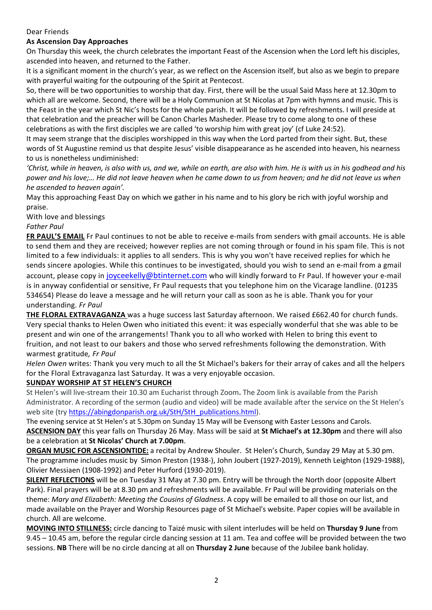#### Dear Friends

## **As Ascension Day Approaches**

On Thursday this week, the church celebrates the important Feast of the Ascension when the Lord left his disciples, ascended into heaven, and returned to the Father.

It is a significant moment in the church's year, as we reflect on the Ascension itself, but also as we begin to prepare with prayerful waiting for the outpouring of the Spirit at Pentecost.

So, there will be two opportunities to worship that day. First, there will be the usual Said Mass here at 12.30pm to which all are welcome. Second, there will be a Holy Communion at St Nicolas at 7pm with hymns and music. This is the Feast in the year which St Nic's hosts for the whole parish. It will be followed by refreshments. I will preside at that celebration and the preacher will be Canon Charles Masheder. Please try to come along to one of these celebrations as with the first disciples we are called 'to worship him with great joy' (cf Luke 24:52).

It may seem strange that the disciples worshipped in this way when the Lord parted from their sight. But, these words of St Augustine remind us that despite Jesus' visible disappearance as he ascended into heaven, his nearness to us is nonetheless undiminished:

*'Christ, while in heaven, is also with us, and we, while on earth, are also with him. He is with us in his godhead and his power and his love;… He did not leave heaven when he came down to us from heaven; and he did not leave us when he ascended to heaven again'.*

May this approaching Feast Day on which we gather in his name and to his glory be rich with joyful worship and praise.

With love and blessings

#### *Father Paul*

**FR PAUL'S EMAIL** Fr Paul continues to not be able to receive e-mails from senders with gmail accounts. He is able to send them and they are received; however replies are not coming through or found in his spam file. This is not limited to a few individuals: it applies to all senders. This is why you won't have received replies for which he sends sincere apologies. While this continues to be investigated, should you wish to send an e-mail from a gmail account, please copy in joyceekelly@btinternet.com who will kindly forward to Fr Paul. If however your e-mail is in anyway confidential or sensitive, Fr Paul requests that you telephone him on the Vicarage landline. (01235 534654) Please do leave a message and he will return your call as soon as he is able. Thank you for your understanding. *Fr Paul*

**THE FLORAL EXTRAVAGANZA** was a huge success last Saturday afternoon. We raised £662.40 for church funds. Very special thanks to Helen Owen who initiated this event: it was especially wonderful that she was able to be present and win one of the arrangements! Thank you to all who worked with Helen to bring this event to fruition, and not least to our bakers and those who served refreshments following the demonstration. With warmest gratitude*, Fr Paul*

*Helen Owen* writes: Thank you very much to all the St Michael's bakers for their array of cakes and all the helpers for the Floral Extravaganza last Saturday. It was a very enjoyable occasion.

#### **SUNDAY WORSHIP AT ST HELEN'S CHURCH**

St Helen's will live-stream their 10.30 am Eucharist through Zoom**.** The Zoom link is available from the Parish Administrator. A recording of the sermon (audio and video) will be made available after the service on the St Helen's web site (try https://abingdonparish.org.uk/StH/StH\_publications.html).

The evening service at St Helen's at 5.30pm on Sunday 15 May will be Evensong with Easter Lessons and Carols. **ASCENSION DAY** this year falls on Thursday 26 May. Mass will be said at **St Michael's at 12.30pm** and there will also be a celebration at **St Nicolas' Church at 7.00pm**.

**ORGAN MUSIC FOR ASCENSIONTIDE:** a recital by Andrew Shouler. St Helen's Church, Sunday 29 May at 5.30 pm. The programme includes music by Simon Preston (1938-), John Joubert (1927-2019), Kenneth Leighton (1929-1988), Olivier Messiaen (1908-1992) and Peter Hurford (1930-2019).

**SILENT REFLECTIONS** will be on Tuesday 31 May at 7.30 pm. Entry will be through the North door (opposite Albert Park). Final prayers will be at 8.30 pm and refreshments will be available. Fr Paul will be providing materials on the theme: *Mary and Elizabeth: Meeting the Cousins of Gladness*. A copy will be emailed to all those on our list, and made available on the Prayer and Worship Resources page of St Michael's website. Paper copies will be available in church. All are welcome.

**MOVING INTO STILLNESS:** circle dancing to Taizé music with silent interludes will be held on **Thursday 9 June** from 9.45 – 10.45 am, before the regular circle dancing session at 11 am. Tea and coffee will be provided between the two sessions. **NB** There will be no circle dancing at all on **Thursday 2 June** because of the Jubilee bank holiday.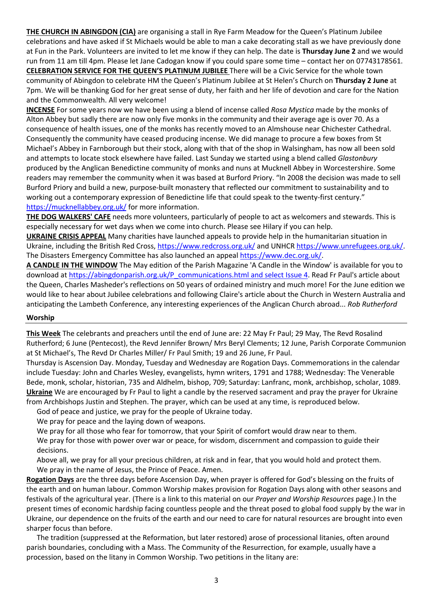**THE CHURCH IN ABINGDON (CIA)** are organising a stall in Rye Farm Meadow for the Queen's Platinum Jubilee celebrations and have asked if St Michaels would be able to man a cake decorating stall as we have previously done at Fun in the Park. Volunteers are invited to let me know if they can help. The date is **Thursday June 2** and we would run from 11 am till 4pm. Please let Jane Cadogan know if you could spare some time – contact her on 07743178561. **CELEBRATION SERVICE FOR THE QUEEN'S PLATINUM JUBILEE** There will be a Civic Service for the whole town community of Abingdon to celebrate HM the Queen's Platinum Jubilee at St Helen's Church on **Thursday 2 June** at 7pm. We will be thanking God for her great sense of duty, her faith and her life of devotion and care for the Nation and the Commonwealth. All very welcome!

**INCENSE** For some years now we have been using a blend of incense called *Rosa Mystica* made by the monks of Alton Abbey but sadly there are now only five monks in the community and their average age is over 70. As a consequence of health issues, one of the monks has recently moved to an Almshouse near Chichester Cathedral. Consequently the community have ceased producing incense. We did manage to procure a few boxes from St Michael's Abbey in Farnborough but their stock, along with that of the shop in Walsingham, has now all been sold and attempts to locate stock elsewhere have failed. Last Sunday we started using a blend called *Glastonbury* produced by the Anglican Benedictine community of monks and nuns at Mucknell Abbey in Worcestershire. Some readers may remember the community when it was based at Burford Priory. "In 2008 the decision was made to sell Burford Priory and build a new, purpose-built monastery that reflected our commitment to sustainability and to working out a contemporary expression of Benedictine life that could speak to the twenty-first century." https://mucknellabbey.org.uk/ for more information.

**THE DOG WALKERS' CAFE** needs more volunteers, particularly of people to act as welcomers and stewards. This is especially necessary for wet days when we come into church. Please see Hilary if you can help.

**UKRAINE CRISIS APPEAL** Many charities have launched appeals to provide help in the humanitarian situation in Ukraine, including the British Red Cross, https://www.redcross.org.uk/ and UNHCR https://www.unrefugees.org.uk/. The Disasters Emergency Committee has also launched an appeal https://www.dec.org.uk/.

**A CANDLE IN THE WINDOW** The May edition of the Parish Magazine 'A Candle in the Window' is available for you to download at https://abingdonparish.org.uk/P\_communications.html and select Issue 4. Read Fr Paul's article about the Queen, Charles Masheder's reflections on 50 years of ordained ministry and much more! For the June edition we would like to hear about Jubilee celebrations and following Claire's article about the Church in Western Australia and anticipating the Lambeth Conference, any interesting experiences of the Anglican Church abroad... *Rob Rutherford*

#### **Worship**

**This Week** The celebrants and preachers until the end of June are: 22 May Fr Paul; 29 May, The Revd Rosalind Rutherford; 6 June (Pentecost), the Revd Jennifer Brown/ Mrs Beryl Clements; 12 June, Parish Corporate Communion at St Michael's, The Revd Dr Charles Miller/ Fr Paul Smith; 19 and 26 June, Fr Paul.

Thursday is Ascension Day. Monday, Tuesday and Wednesday are Rogation Days. Commemorations in the calendar include Tuesday: John and Charles Wesley, evangelists, hymn writers, 1791 and 1788; Wednesday: The Venerable Bede, monk, scholar, historian, 735 and Aldhelm, bishop, 709; Saturday: Lanfranc, monk, archbishop, scholar, 1089. **Ukraine** We are encouraged by Fr Paul to light a candle by the reserved sacrament and pray the prayer for Ukraine from Archbishops Justin and Stephen. The prayer, which can be used at any time, is reproduced below.

God of peace and justice, we pray for the people of Ukraine today.

We pray for peace and the laying down of weapons.

We pray for all those who fear for tomorrow, that your Spirit of comfort would draw near to them.

We pray for those with power over war or peace, for wisdom, discernment and compassion to guide their decisions.

Above all, we pray for all your precious children, at risk and in fear, that you would hold and protect them. We pray in the name of Jesus, the Prince of Peace. Amen.

**Rogation Days** are the three days before Ascension Day, when prayer is offered for God's blessing on the fruits of the earth and on human labour. Common Worship makes provision for Rogation Days along with other seasons and festivals of the agricultural year. (There is a link to this material on our *Prayer and Worship Resources* page.) In the present times of economic hardship facing countless people and the threat posed to global food supply by the war in Ukraine, our dependence on the fruits of the earth and our need to care for natural resources are brought into even sharper focus than before.

The tradition (suppressed at the Reformation, but later restored) arose of processional litanies, often around parish boundaries, concluding with a Mass. The Community of the Resurrection, for example, usually have a procession, based on the litany in Common Worship. Two petitions in the litany are: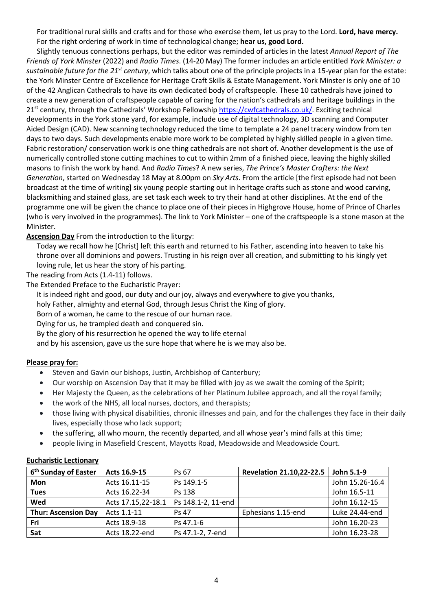For traditional rural skills and crafts and for those who exercise them, let us pray to the Lord. **Lord, have mercy.** For the right ordering of work in time of technological change; **hear us, good Lord.**

Slightly tenuous connections perhaps, but the editor was reminded of articles in the latest *Annual Report of The Friends of York Minster* (2022) and *Radio Times*. (14-20 May) The former includes an article entitled *York Minister: a sustainable future for the 21st century*, which talks about one of the principle projects in a 15-year plan for the estate: the York Minster Centre of Excellence for Heritage Craft Skills & Estate Management. York Minster is only one of 10 of the 42 Anglican Cathedrals to have its own dedicated body of craftspeople. These 10 cathedrals have joined to create a new generation of craftspeople capable of caring for the nation's cathedrals and heritage buildings in the 21<sup>st</sup> century, through the Cathedrals' Workshop Fellowship https://cwfcathedrals.co.uk/. Exciting technical developments in the York stone yard, for example, include use of digital technology, 3D scanning and Computer Aided Design (CAD). New scanning technology reduced the time to template a 24 panel tracery window from ten days to two days. Such developments enable more work to be completed by highly skilled people in a given time. Fabric restoration/ conservation work is one thing cathedrals are not short of. Another development is the use of numerically controlled stone cutting machines to cut to within 2mm of a finished piece, leaving the highly skilled masons to finish the work by hand. And *Radio Times*? A new series, *The Prince's Master Crafters: the Next Generation*, started on Wednesday 18 May at 8.00pm on *Sky Arts*. From the article [the first episode had not been broadcast at the time of writing] six young people starting out in heritage crafts such as stone and wood carving, blacksmithing and stained glass, are set task each week to try their hand at other disciplines. At the end of the programme one will be given the chance to place one of their pieces in Highgrove House, home of Prince of Charles (who is very involved in the programmes). The link to York Minister – one of the craftspeople is a stone mason at the Minister.

#### **Ascension Day** From the introduction to the liturgy:

Today we recall how he [Christ] left this earth and returned to his Father, ascending into heaven to take his throne over all dominions and powers. Trusting in his reign over all creation, and submitting to his kingly yet loving rule, let us hear the story of his parting.

The reading from Acts (1.4-11) follows.

The Extended Preface to the Eucharistic Prayer:

It is indeed right and good, our duty and our joy, always and everywhere to give you thanks,

holy Father, almighty and eternal God, through Jesus Christ the King of glory.

Born of a woman, he came to the rescue of our human race.

Dying for us, he trampled death and conquered sin.

By the glory of his resurrection he opened the way to life eternal

and by his ascension, gave us the sure hope that where he is we may also be.

#### **Please pray for:**

- Steven and Gavin our bishops, Justin, Archbishop of Canterbury;
- Our worship on Ascension Day that it may be filled with joy as we await the coming of the Spirit;
- Her Majesty the Queen, as the celebrations of her Platinum Jubilee approach, and all the royal family;
- the work of the NHS, all local nurses, doctors, and therapists;
- those living with physical disabilities, chronic illnesses and pain, and for the challenges they face in their daily lives, especially those who lack support;
- the suffering, all who mourn, the recently departed, and all whose year's mind falls at this time;
- people living in Masefield Crescent, Mayotts Road, Meadowside and Meadowside Court.

#### **Eucharistic Lectionary**

| 6 <sup>th</sup> Sunday of Easter | Acts 16.9-15       | Ps 67              | <b>Revelation 21.10,22-22.5</b> | John 5.1-9      |
|----------------------------------|--------------------|--------------------|---------------------------------|-----------------|
| <b>Mon</b>                       | Acts 16.11-15      | Ps 149.1-5         |                                 | John 15.26-16.4 |
| <b>Tues</b>                      | Acts 16.22-34      | Ps 138             |                                 | John 16.5-11    |
| Wed                              | Acts 17.15,22-18.1 | Ps 148.1-2, 11-end |                                 | John 16.12-15   |
| <b>Thur: Ascension Day</b>       | Acts 1.1-11        | Ps 47              | Ephesians 1.15-end              | Luke 24.44-end  |
| Fri                              | Acts 18.9-18       | Ps 47.1-6          |                                 | John 16.20-23   |
| Sat                              | Acts 18.22-end     | Ps 47.1-2, 7-end   |                                 | John 16.23-28   |